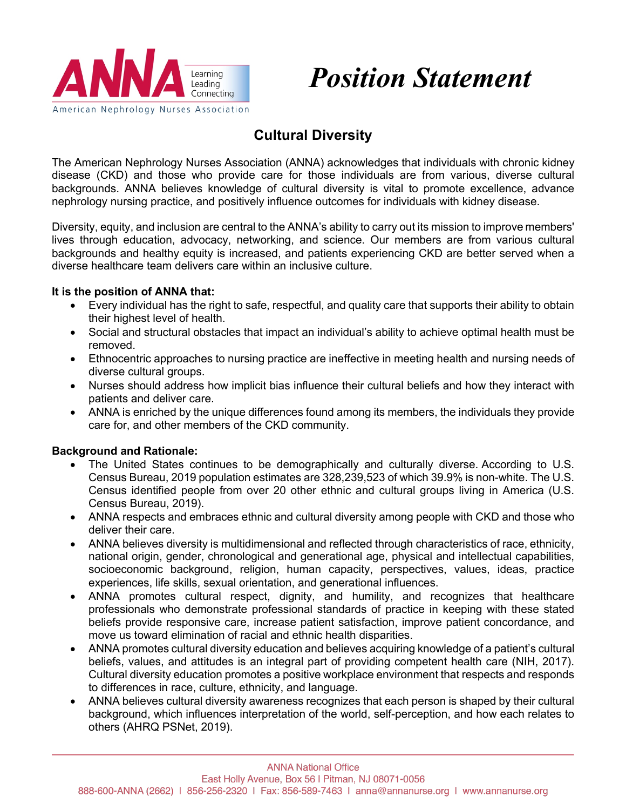



# **Cultural Diversity**

The American Nephrology Nurses Association (ANNA) acknowledges that individuals with chronic kidney disease (CKD) and those who provide care for those individuals are from various, diverse cultural backgrounds. ANNA believes knowledge of cultural diversity is vital to promote excellence, advance nephrology nursing practice, and positively influence outcomes for individuals with kidney disease.

Diversity, equity, and inclusion are central to the ANNA's ability to carry out its mission to improve members' lives through education, advocacy, networking, and science. Our members are from various cultural backgrounds and healthy equity is increased, and patients experiencing CKD are better served when a diverse healthcare team delivers care within an inclusive culture.

## **It is the position of ANNA that:**

- Every individual has the right to safe, respectful, and quality care that supports their ability to obtain their highest level of health.
- Social and structural obstacles that impact an individual's ability to achieve optimal health must be removed.
- Ethnocentric approaches to nursing practice are ineffective in meeting health and nursing needs of diverse cultural groups.
- Nurses should address how implicit bias influence their cultural beliefs and how they interact with patients and deliver care.
- ANNA is enriched by the unique differences found among its members, the individuals they provide care for, and other members of the CKD community.

## **Background and Rationale:**

- The United States continues to be demographically and culturally diverse. According to U.S. Census Bureau, 2019 population estimates are 328,239,523 of which 39.9% is non-white. The U.S. Census identified people from over 20 other ethnic and cultural groups living in America (U.S. Census Bureau, 2019).
- ANNA respects and embraces ethnic and cultural diversity among people with CKD and those who deliver their care.
- ANNA believes diversity is multidimensional and reflected through characteristics of race, ethnicity, national origin, gender, chronological and generational age, physical and intellectual capabilities, socioeconomic background, religion, human capacity, perspectives, values, ideas, practice experiences, life skills, sexual orientation, and generational influences.
- ANNA promotes cultural respect, dignity, and humility, and recognizes that healthcare professionals who demonstrate professional standards of practice in keeping with these stated beliefs provide responsive care, increase patient satisfaction, improve patient concordance, and move us toward elimination of racial and ethnic health disparities.
- ANNA promotes cultural diversity education and believes acquiring knowledge of a patient's cultural beliefs, values, and attitudes is an integral part of providing competent health care (NIH, 2017). Cultural diversity education promotes a positive workplace environment that respects and responds to differences in race, culture, ethnicity, and language.
- ANNA believes cultural diversity awareness recognizes that each person is shaped by their cultural background, which influences interpretation of the world, self-perception, and how each relates to others (AHRQ PSNet, 2019).